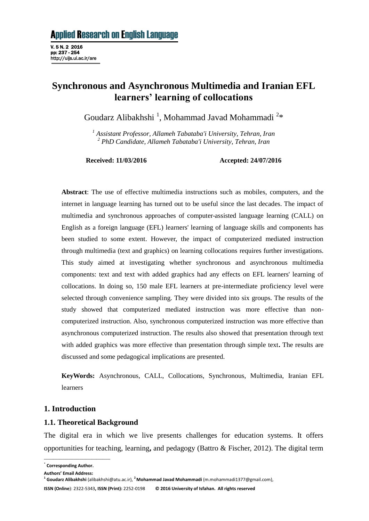# **Synchronous and Asynchronous Multimedia and Iranian EFL learners' learning of collocations**

Goudarz Alibakhshi<sup>1</sup>, Mohammad Javad Mohammadi<sup>2\*</sup>

*<sup>1</sup> Assistant Professor, Allameh Tabataba'i University, Tehran, Iran <sup>2</sup> PhD Candidate, Allameh Tabataba'i University, Tehran, Iran*

**Received: 11/03/2016 Accepted: 24/07/2016**

**Abstract**: The use of effective multimedia instructions such as mobiles, computers, and the internet in language learning has turned out to be useful since the last decades. The impact of multimedia and synchronous approaches of computer-assisted language learning (CALL) on English as a foreign language (EFL) learners' learning of language skills and components has been studied to some extent. However, the impact of computerized mediated instruction through multimedia (text and graphics) on learning collocations requires further investigations. This study aimed at investigating whether synchronous and asynchronous multimedia components: text and text with added graphics had any effects on EFL learners' learning of collocations. In doing so, 150 male EFL learners at pre-intermediate proficiency level were selected through convenience sampling. They were divided into six groups. The results of the study showed that computerized mediated instruction was more effective than noncomputerized instruction. Also, synchronous computerized instruction was more effective than asynchronous computerized instruction. The results also showed that presentation through text with added graphics was more effective than presentation through simple text**.** The results are discussed and some pedagogical implications are presented.

**KeyWords:** Asynchronous, CALL, Collocations, Synchronous, Multimedia, Iranian EFL learners

# **1. Introduction**

# **1.1. Theoretical Background**

The digital era in which we live presents challenges for education systems. It offers opportunities for teaching, learning**,** and pedagogy (Battro & Fischer, 2012). The digital term

**\_\_\_\_\_\_\_\_\_\_\_\_\_\_\_\_\_\_\_\_\_\_\_\_\_\_\_\_\_\_\_\_\_\_\_\_\_\_\_\_\_\_\_**

**ISSN (Online**): 2322-5343**, ISSN (Print):** 2252-0198 **© 2016 University of Isfahan. All rights reserved**

<sup>\*</sup> **Corresponding Author.**

**Authors' Email Address:**

**<sup>1</sup> Goudarz Alibakhshi** (alibakhshi@atu.ac.ir), **<sup>2</sup>Mohammad Javad Mohammadi** (m.mohammadi1377@gmail.com),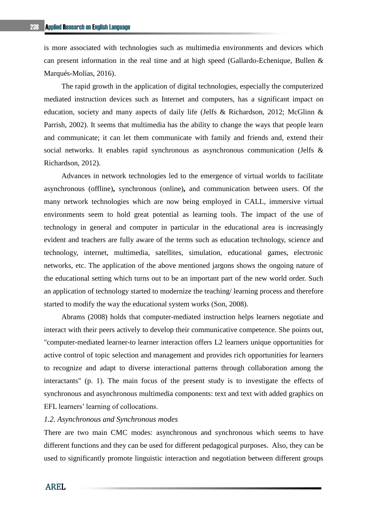is more associated with technologies such as multimedia environments and devices which can present information in the real time and at high speed (Gallardo-Echenique, Bullen & Marqués-Molías, 2016).

The rapid growth in the application of digital technologies, especially the computerized mediated instruction devices such as Internet and computers, has a significant impact on education, society and many aspects of daily life (Jelfs & Richardson, 2012; McGlinn & Parrish, 2002). It seems that multimedia has the ability to change the ways that people learn and communicate; it can let them communicate with family and friends and, extend their social networks. It enables rapid synchronous as asynchronous communication (Jelfs & Richardson, 2012).

Advances in network technologies led to the emergence of virtual worlds to facilitate asynchronous (offline)**,** synchronous (online)**,** and communication between users. Of the many network technologies which are now being employed in CALL, immersive virtual environments seem to hold great potential as learning tools. The impact of the use of technology in general and computer in particular in the educational area is increasingly evident and teachers are fully aware of the terms such as education technology, science and technology, internet, multimedia, satellites, simulation, educational games, electronic networks, etc. The application of the above mentioned jargons shows the ongoing nature of the educational setting which turns out to be an important part of the new world order. Such an application of technology started to modernize the teaching/ learning process and therefore started to modify the way the educational system works (Son, 2008).

Abrams (2008) holds that computer-mediated instruction helps learners negotiate and interact with their peers actively to develop their communicative competence. She points out, "computer-mediated learner-to learner interaction offers L2 learners unique opportunities for active control of topic selection and management and provides rich opportunities for learners to recognize and adapt to diverse interactional patterns through collaboration among the interactants" (p. 1). The main focus of the present study is to investigate the effects of synchronous and asynchronous multimedia components: text and text with added graphics on EFL learners' learning of collocations.

### *1.2. Asynchronous and Synchronous modes*

There are two main CMC modes: asynchronous and synchronous which seems to have different functions and they can be used for different pedagogical purposes. Also, they can be used to significantly promote linguistic interaction and negotiation between different groups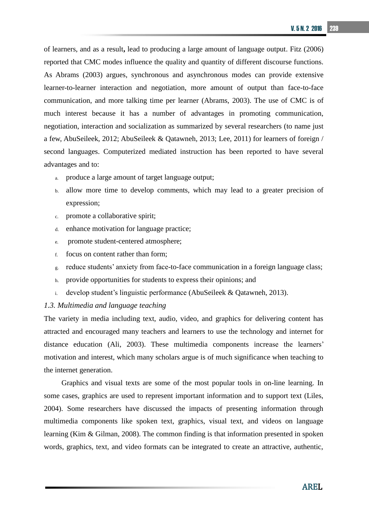of learners, and as a result**,** lead to producing a large amount of language output. Fitz (2006) reported that CMC modes influence the quality and quantity of different discourse functions. As Abrams (2003) argues, synchronous and asynchronous modes can provide extensive learner-to-learner interaction and negotiation, more amount of output than face-to-face communication, and more talking time per learner (Abrams, 2003). The use of CMC is of much interest because it has a number of advantages in promoting communication, negotiation, interaction and socialization as summarized by several researchers (to name just a few, AbuSeileek, 2012; AbuSeileek & Qatawneh, 2013; Lee, 2011) for learners of foreign / second languages. Computerized mediated instruction has been reported to have several advantages and to:

- a. produce a large amount of target language output;
- b. allow more time to develop comments, which may lead to a greater precision of expression;
- c. promote a collaborative spirit;
- d. enhance motivation for language practice;
- e. promote student-centered atmosphere;
- f. focus on content rather than form;
- g. reduce students' anxiety from face-to-face communication in a foreign language class;
- h. provide opportunities for students to express their opinions; and
- i. develop student's linguistic performance (AbuSeileek & Qatawneh, 2013).

#### *1.3. Multimedia and language teaching*

The variety in media including text, audio, video, and graphics for delivering content has attracted and encouraged many teachers and learners to use the technology and internet for distance education (Ali, 2003). These multimedia components increase the learners' motivation and interest, which many scholars argue is of much significance when teaching to the internet generation.

Graphics and visual texts are some of the most popular tools in on-line learning. In some cases, graphics are used to represent important information and to support text (Liles, 2004). Some researchers have discussed the impacts of presenting information through multimedia components like spoken text, graphics, visual text, and videos on language learning (Kim & Gilman, 2008). The common finding is that information presented in spoken words, graphics, text, and video formats can be integrated to create an attractive, authentic,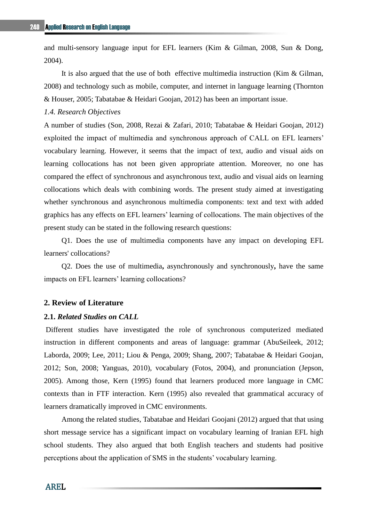and multi-sensory language input for EFL learners (Kim & Gilman, 2008, Sun & Dong, 2004).

It is also argued that the use of both effective multimedia instruction (Kim & Gilman, 2008) and technology such as mobile, computer, and internet in language learning (Thornton & Houser, 2005; Tabatabae & Heidari Goojan, 2012) has been an important issue.

# *1.4. Research Objectives*

A number of studies (Son, 2008, Rezai & Zafari, 2010; Tabatabae & Heidari Goojan, 2012) exploited the impact of multimedia and synchronous approach of CALL on EFL learners' vocabulary learning. However, it seems that the impact of text, audio and visual aids on learning collocations has not been given appropriate attention. Moreover, no one has compared the effect of synchronous and asynchronous text, audio and visual aids on learning collocations which deals with combining words. The present study aimed at investigating whether synchronous and asynchronous multimedia components: text and text with added graphics has any effects on EFL learners' learning of collocations. The main objectives of the present study can be stated in the following research questions:

Q1. Does the use of multimedia components have any impact on developing EFL learners' collocations?

Q2. Does the use of multimedia**,** asynchronously and synchronously**,** have the same impacts on EFL learners' learning collocations?

#### **2. Review of Literature**

# **2.1.** *Related Studies on CALL*

Different studies have investigated the role of synchronous computerized mediated instruction in different components and areas of language: grammar (AbuSeileek, 2012; Laborda, 2009; Lee, 2011; Liou & Penga, 2009; Shang, 2007; Tabatabae & Heidari Goojan, 2012; Son, 2008; Yanguas, 2010), vocabulary (Fotos, 2004), and pronunciation (Jepson, 2005). Among those, Kern (1995) found that learners produced more language in CMC contexts than in FTF interaction. Kern (1995) also revealed that grammatical accuracy of learners dramatically improved in CMC environments.

Among the related studies, Tabatabae and Heidari Goojani (2012) argued that that using short message service has a significant impact on vocabulary learning of Iranian EFL high school students. They also argued that both English teachers and students had positive perceptions about the application of SMS in the students' vocabulary learning.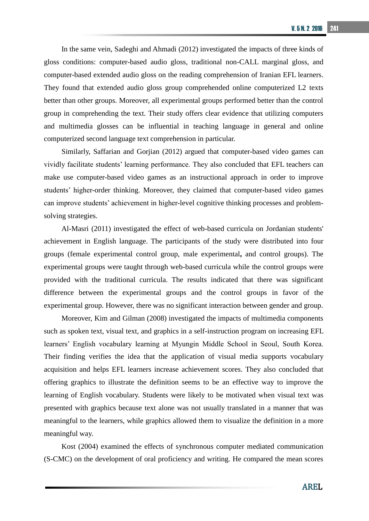In the same vein, Sadeghi and Ahmadi (2012) investigated the impacts of three kinds of gloss conditions: computer-based audio gloss, traditional non-CALL marginal gloss, and computer-based extended audio gloss on the reading comprehension of Iranian EFL learners. They found that extended audio gloss group comprehended online computerized L2 texts better than other groups. Moreover, all experimental groups performed better than the control group in comprehending the text. Their study offers clear evidence that utilizing computers and multimedia glosses can be influential in teaching language in general and online computerized second language text comprehension in particular.

Similarly, Saffarian and Gorjian (2012) argued that computer-based video games can vividly facilitate students' learning performance. They also concluded that EFL teachers can make use computer-based video games as an instructional approach in order to improve students' higher-order thinking. Moreover, they claimed that computer-based video games can improve students' achievement in higher-level cognitive thinking processes and problemsolving strategies.

Al-Masri (2011) investigated the effect of web-based curricula on Jordanian students' achievement in English language. The participants of the study were distributed into four groups (female experimental control group, male experimental**,** and control groups). The experimental groups were taught through web-based curricula while the control groups were provided with the traditional curricula. The results indicated that there was significant difference between the experimental groups and the control groups in favor of the experimental group. However, there was no significant interaction between gender and group.

Moreover, Kim and Gilman (2008) investigated the impacts of multimedia components such as spoken text, visual text, and graphics in a self-instruction program on increasing EFL learners' English vocabulary learning at Myungin Middle School in Seoul, South Korea. Their finding verifies the idea that the application of visual media supports vocabulary acquisition and helps EFL learners increase achievement scores. They also concluded that offering graphics to illustrate the definition seems to be an effective way to improve the learning of English vocabulary. Students were likely to be motivated when visual text was presented with graphics because text alone was not usually translated in a manner that was meaningful to the learners, while graphics allowed them to visualize the definition in a more meaningful way.

Kost (2004) examined the effects of synchronous computer mediated communication (S-CMC) on the development of oral proficiency and writing. He compared the mean scores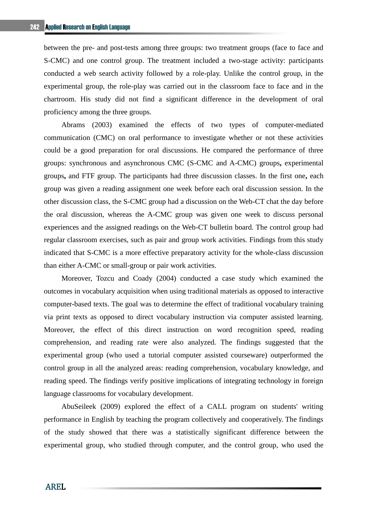between the pre- and post-tests among three groups: two treatment groups (face to face and S-CMC) and one control group. The treatment included a two-stage activity: participants conducted a web search activity followed by a role-play. Unlike the control group, in the experimental group, the role-play was carried out in the classroom face to face and in the chartroom. His study did not find a significant difference in the development of oral proficiency among the three groups.

Abrams (2003) examined the effects of two types of computer**-**mediated communication (CMC) on oral performance to investigate whether or not these activities could be a good preparation for oral discussions. He compared the performance of three groups: synchronous and asynchronous CMC (S-CMC and A-CMC) groups**,** experimental groups**,** and FTF group. The participants had three discussion classes. In the first one**,** each group was given a reading assignment one week before each oral discussion session. In the other discussion class, the S-CMC group had a discussion on the Web-CT chat the day before the oral discussion, whereas the A-CMC group was given one week to discuss personal experiences and the assigned readings on the Web-CT bulletin board. The control group had regular classroom exercises, such as pair and group work activities. Findings from this study indicated that S-CMC is a more effective preparatory activity for the whole-class discussion than either A-CMC or small-group or pair work activities.

Moreover, Tozcu and Coady (2004) conducted a case study which examined the outcomes in vocabulary acquisition when using traditional materials as opposed to interactive computer-based texts. The goal was to determine the effect of traditional vocabulary training via print texts as opposed to direct vocabulary instruction via computer assisted learning. Moreover, the effect of this direct instruction on word recognition speed, reading comprehension, and reading rate were also analyzed. The findings suggested that the experimental group (who used a tutorial computer assisted courseware) outperformed the control group in all the analyzed areas: reading comprehension, vocabulary knowledge, and reading speed. The findings verify positive implications of integrating technology in foreign language classrooms for vocabulary development.

AbuSeileek (2009) explored the effect of a CALL program on students' writing performance in English by teaching the program collectively and cooperatively. The findings of the study showed that there was a statistically significant difference between the experimental group, who studied through computer, and the control group, who used the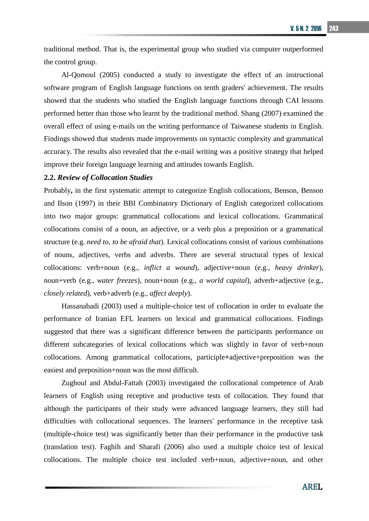traditional method. That is, the experimental group who studied via computer outperformed the control group.

Al-Qomoul (2005) conducted a study to investigate the effect of an instructional software program of English language functions on tenth graders' achievement. The results showed that the students who studied the English language functions through CAI lessons performed better than those who learnt by the traditional method. Shang (2007) examined the overall effect of using e-mails on the writing performance of Taiwanese students in English. Findings showed that students made improvements on syntactic complexity and grammatical accuracy. The results also revealed that the e-mail writing was a positive strategy that helped improve their foreign language learning and attitudes towards English.

#### **2.2.** *Review of Collocation Studies*

Probably**,** in the first systematic attempt to categorize English collocations, Benson, Benson and Ilson (1997) in their BBI Combinatory Dictionary of English categorized collocations into two major groups: grammatical collocations and lexical collocations. Grammatical collocations consist of a noun, an adjective, or a verb plus a preposition or a grammatical structure (e.g. *need to*, *to be afraid that*). Lexical collocations consist of various combinations of nouns, adjectives, verbs and adverbs. There are several structural types of lexical collocations: verb+noun (e.g., *inflict a wound*), adjective+noun (e.g., *heavy drinker*), noun+verb (e.g., *water freezes*), noun+noun (e.g., *a world capital*), adverb+adjective (e.g., *closely related*), verb+adverb (e.g., *affect deeply*).

Hassanabadi (2003) used a multiple-choice test of collocation in order to evaluate the performance of Iranian EFL learners on lexical and grammatical collocations. Findings suggested that there was a significant difference between the participants performance on different subcategories of lexical collocations which was slightly in favor of verb+noun collocations. Among grammatical collocations, participle**+**adjective+preposition was the easiest and preposition+noun was the most difficult.

Zughoul and Abdul-Fattah (2003) investigated the collocational competence of Arab learners of English using receptive and productive tests of collocation. They found that although the participants of their study were advanced language learners, they still had difficulties with collocational sequences. The learners' performance in the receptive task (multiple-choice test) was significantly better than their performance in the productive task (translation test). Faghih and Sharafi (2006) also used a multiple choice test of lexical collocations. The multiple choice test included verb+noun, adjective+noun, and other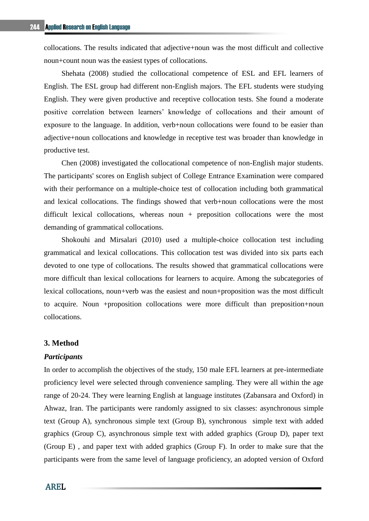collocations. The results indicated that adjective+noun was the most difficult and collective noun+count noun was the easiest types of collocations.

Shehata (2008) studied the collocational competence of ESL and EFL learners of English. The ESL group had different non-English majors. The EFL students were studying English. They were given productive and receptive collocation tests. She found a moderate positive correlation between learners' knowledge of collocations and their amount of exposure to the language. In addition, verb+noun collocations were found to be easier than adjective+noun collocations and knowledge in receptive test was broader than knowledge in productive test.

Chen (2008) investigated the collocational competence of non-English major students. The participants' scores on English subject of College Entrance Examination were compared with their performance on a multiple-choice test of collocation including both grammatical and lexical collocations. The findings showed that verb+noun collocations were the most difficult lexical collocations, whereas noun + preposition collocations were the most demanding of grammatical collocations.

Shokouhi and Mirsalari (2010) used a multiple-choice collocation test including grammatical and lexical collocations. This collocation test was divided into six parts each devoted to one type of collocations. The results showed that grammatical collocations were more difficult than lexical collocations for learners to acquire. Among the subcategories of lexical collocations, noun+verb was the easiest and noun+proposition was the most difficult to acquire. Noun +proposition collocations were more difficult than preposition+noun collocations.

# **3. Method**

#### *Participants*

In order to accomplish the objectives of the study, 150 male EFL learners at pre-intermediate proficiency level were selected through convenience sampling. They were all within the age range of 20-24. They were learning English at language institutes (Zabansara and Oxford) in Ahwaz, Iran. The participants were randomly assigned to six classes: asynchronous simple text (Group A), synchronous simple text (Group B), synchronous simple text with added graphics (Group C), asynchronous simple text with added graphics (Group D), paper text (Group E) , and paper text with added graphics (Group F). In order to make sure that the participants were from the same level of language proficiency, an adopted version of Oxford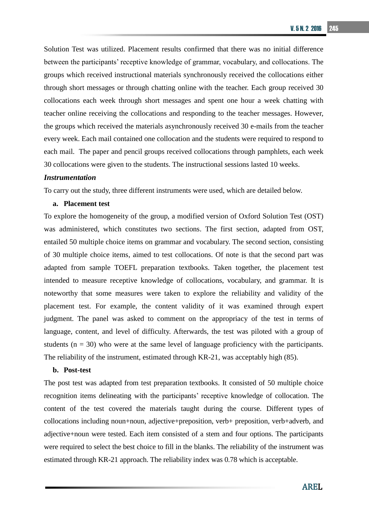Solution Test was utilized. Placement results confirmed that there was no initial difference between the participants' receptive knowledge of grammar, vocabulary, and collocations. The groups which received instructional materials synchronously received the collocations either through short messages or through chatting online with the teacher. Each group received 30 collocations each week through short messages and spent one hour a week chatting with teacher online receiving the collocations and responding to the teacher messages. However, the groups which received the materials asynchronously received 30 e-mails from the teacher every week. Each mail contained one collocation and the students were required to respond to each mail. The paper and pencil groups received collocations through pamphlets, each week 30 collocations were given to the students. The instructional sessions lasted 10 weeks.

#### *Instrumentation*

To carry out the study, three different instruments were used, which are detailed below.

#### **a. Placement test**

To explore the homogeneity of the group, a modified version of Oxford Solution Test (OST) was administered, which constitutes two sections. The first section, adapted from OST, entailed 50 multiple choice items on grammar and vocabulary. The second section, consisting of 30 multiple choice items, aimed to test collocations. Of note is that the second part was adapted from sample TOEFL preparation textbooks. Taken together, the placement test intended to measure receptive knowledge of collocations, vocabulary, and grammar. It is noteworthy that some measures were taken to explore the reliability and validity of the placement test. For example, the content validity of it was examined through expert judgment. The panel was asked to comment on the appropriacy of the test in terms of language, content, and level of difficulty. Afterwards, the test was piloted with a group of students  $(n = 30)$  who were at the same level of language proficiency with the participants. The reliability of the instrument, estimated through KR-21, was acceptably high (85).

#### **b. Post-test**

The post test was adapted from test preparation textbooks. It consisted of 50 multiple choice recognition items delineating with the participants' receptive knowledge of collocation. The content of the test covered the materials taught during the course. Different types of collocations including noun+noun, adjective+preposition, verb+ preposition, verb+adverb, and adjective+noun were tested. Each item consisted of a stem and four options. The participants were required to select the best choice to fill in the blanks. The reliability of the instrument was estimated through KR-21 approach. The reliability index was 0.78 which is acceptable.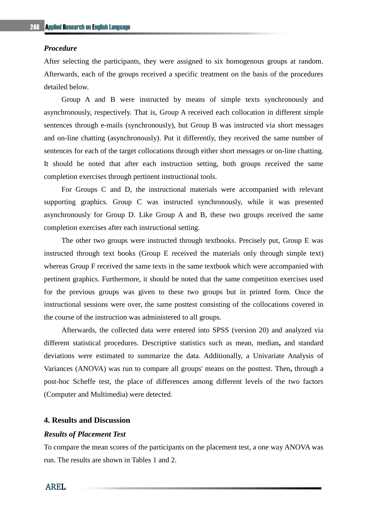#### *Procedure*

After selecting the participants, they were assigned to six homogenous groups at random. Afterwards, each of the groups received a specific treatment on the basis of the procedures detailed below.

Group A and B were instructed by means of simple texts synchronously and asynchronously, respectively. That is, Group A received each collocation in different simple sentences through e-mails (synchronously), but Group B was instructed via short messages and on-line chatting (asynchronously). Put it differently, they received the same number of sentences for each of the target collocations through either short messages or on-line chatting. It should be noted that after each instruction setting, both groups received the same completion exercises through pertinent instructional tools.

For Groups C and D, the instructional materials were accompanied with relevant supporting graphics. Group C was instructed synchronously, while it was presented asynchronously for Group D. Like Group A and B, these two groups received the same completion exercises after each instructional setting.

The other two groups were instructed through textbooks. Precisely put, Group E was instructed through text books (Group E received the materials only through simple text) whereas Group F received the same texts in the same textbook which were accompanied with pertinent graphics. Furthermore, it should be noted that the same competition exercises used for the previous groups was given to these two groups but in printed form. Once the instructional sessions were over, the same posttest consisting of the collocations covered in the course of the instruction was administered to all groups.

Afterwards, the collected data were entered into SPSS (version 20) and analyzed via different statistical procedures. Descriptive statistics such as mean, median**,** and standard deviations were estimated to summarize the data. Additionally, a Univariate Analysis of Variances (ANOVA) was run to compare all groups' means on the posttest. Then**,** through a post-hoc Scheffe test, the place of differences among different levels of the two factors (Computer and Multimedia) were detected.

# **4. Results and Discussion**

## *Results of Placement Test*

To compare the mean scores of the participants on the placement test, a one way ANOVA was run. The results are shown in Tables 1 and 2.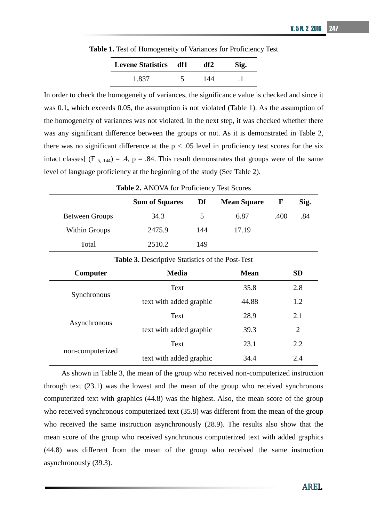**Table 1.** Test of Homogeneity of Variances for Proficiency Test

| <b>Levene Statistics df1</b> | df2 | Sig. |
|------------------------------|-----|------|
| 1.837                        | 144 |      |

In order to check the homogeneity of variances, the significance value is checked and since it was 0.1**,** which exceeds 0.05, the assumption is not violated (Table 1). As the assumption of the homogeneity of variances was not violated, in the next step, it was checked whether there was any significant difference between the groups or not. As it is demonstrated in Table 2, there was no significant difference at the  $p < .05$  level in proficiency test scores for the six intact classes  $(F_5, 144) = .4$ ,  $p = .84$ . This result demonstrates that groups were of the same level of language proficiency at the beginning of the study (See Table 2).

| <b>Radio 2.</b> Terry VIVIOL Frontenche y Test bedies   |                         |                         |                                               |             |           |
|---------------------------------------------------------|-------------------------|-------------------------|-----------------------------------------------|-------------|-----------|
|                                                         | <b>Sum of Squares</b>   | Df                      | <b>Mean Square</b>                            | $\mathbf F$ | Sig.      |
| <b>Between Groups</b>                                   | 34.3                    | 5                       | 6.87                                          | .400        | .84       |
| <b>Within Groups</b>                                    | 2475.9                  | 144                     | 17.19                                         |             |           |
| Total                                                   | 2510.2                  | 149                     |                                               |             |           |
| <b>Table 3.</b> Descriptive Statistics of the Post-Test |                         |                         |                                               |             |           |
| Computer                                                | <b>Media</b>            |                         | <b>Mean</b>                                   |             | <b>SD</b> |
|                                                         | Text                    |                         |                                               |             | 2.8       |
| Synchronous                                             | text with added graphic |                         | 35.8<br>44.88<br>28.9<br>39.3<br>23.1<br>34.4 | 1.2         |           |
|                                                         | Text                    |                         |                                               |             | 2.1       |
| Asynchronous                                            |                         | text with added graphic |                                               |             | 2         |
| non-computerized                                        | Text                    |                         |                                               |             | 2.2       |
|                                                         | text with added graphic |                         |                                               |             | 2.4       |

**Table 2.** ANOVA for Proficiency Test Scores

As shown in Table 3, the mean of the group who received non-computerized instruction through text (23.1) was the lowest and the mean of the group who received synchronous computerized text with graphics (44.8) was the highest. Also, the mean score of the group who received synchronous computerized text (35.8) was different from the mean of the group who received the same instruction asynchronously (28.9). The results also show that the mean score of the group who received synchronous computerized text with added graphics (44.8) was different from the mean of the group who received the same instruction asynchronously (39.3).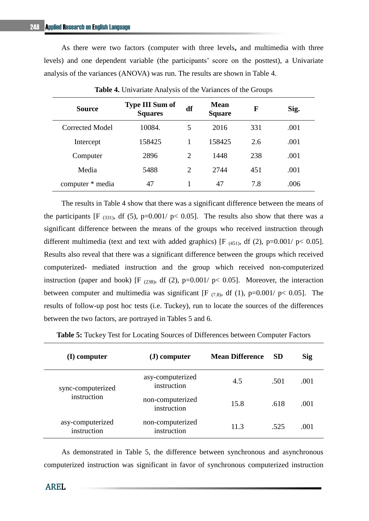As there were two factors (computer with three levels**,** and multimedia with three levels) and one dependent variable (the participants' score on the posttest), a Univariate analysis of the variances (ANOVA) was run. The results are shown in Table 4.

| <b>Source</b>    | <b>Type III Sum of</b><br><b>Squares</b> | df | <b>Mean</b><br><b>Square</b> | F   | Sig. |
|------------------|------------------------------------------|----|------------------------------|-----|------|
| Corrected Model  | 10084.                                   | 5  | 2016                         | 331 | .001 |
| Intercept        | 158425                                   |    | 158425                       | 2.6 | .001 |
| Computer         | 2896                                     | 2  | 1448                         | 238 | .001 |
| Media            | 5488                                     | 2  | 2744                         | 451 | .001 |
| computer * media | 47                                       |    | 47                           | 7.8 | .006 |

**Table 4.** Univariate Analysis of the Variances of the Groups

The results in Table 4 show that there was a significant difference between the means of the participants [F  $_{(331)}$ , df (5), p=0.001/ p< 0.05]. The results also show that there was a significant difference between the means of the groups who received instruction through different multimedia (text and text with added graphics) [F<sub>(451)</sub>, df(2), p=0.001/ p< 0.05]. Results also reveal that there was a significant difference between the groups which received computerized- mediated instruction and the group which received non-computerized instruction (paper and book) [F  $_{(238)}$ , df (2), p=0.001/ p< 0.05]. Moreover, the interaction between computer and multimedia was significant [F  $_{(7.8)}$ , df (1), p=0.001/ p< 0.05]. The results of follow-up post hoc tests (i.e. Tuckey), run to locate the sources of the differences between the two factors, are portrayed in Tables 5 and 6.

| (I) computer                    | $(J) computer$                  | <b>Mean Difference</b> | <b>SD</b> | Sig  |
|---------------------------------|---------------------------------|------------------------|-----------|------|
| sync-computerized               | asy-computerized<br>instruction | 4.5                    | .501      | .001 |
| instruction                     | non-computerized<br>instruction | 15.8                   | .618      | .001 |
| asy-computerized<br>instruction | non-computerized<br>instruction | 11.3                   | .525      | .001 |

**Table 5:** Tuckey Test for Locating Sources of Differences between Computer Factors

As demonstrated in Table 5, the difference between synchronous and asynchronous computerized instruction was significant in favor of synchronous computerized instruction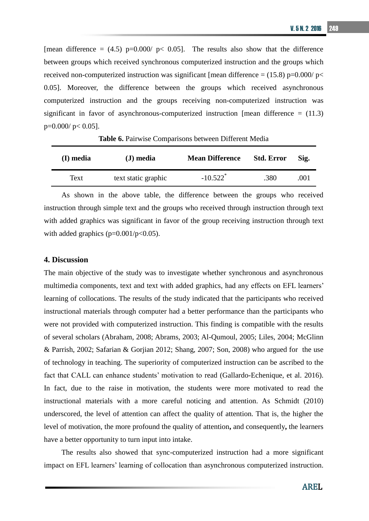[mean difference =  $(4.5)$  p=0.000/ p< 0.05]. The results also show that the difference between groups which received synchronous computerized instruction and the groups which received non-computerized instruction was significant [mean difference =  $(15.8)$  p=0.000/ p< 0.05]. Moreover, the difference between the groups which received asynchronous computerized instruction and the groups receiving non-computerized instruction was significant in favor of asynchronous-computerized instruction [mean difference  $= (11.3)$ ]  $p=0.000/p<0.05$ ].

| (I) media | $J)$ media          | <b>Mean Difference</b> | <b>Std. Error</b> | Sig. |
|-----------|---------------------|------------------------|-------------------|------|
| Text      | text static graphic | $-10.522$ <sup>*</sup> | .380              | .001 |

**Table 6.** Pairwise Comparisons between Different Media

As shown in the above table, the difference between the groups who received instruction through simple text and the groups who received through instruction through text with added graphics was significant in favor of the group receiving instruction through text with added graphics ( $p=0.001/p<0.05$ ).

#### **4. Discussion**

The main objective of the study was to investigate whether synchronous and asynchronous multimedia components, text and text with added graphics, had any effects on EFL learners' learning of collocations. The results of the study indicated that the participants who received instructional materials through computer had a better performance than the participants who were not provided with computerized instruction. This finding is compatible with the results of several scholars (Abraham, 2008; Abrams, 2003; Al-Qumoul, 2005; Liles, 2004; McGlinn & Parrish, 2002; Safarian & Gorjian 2012; Shang, 2007; Son, 2008) who argued for [the use](https://www.google.com/search?hl=en&biw=795&bih=506&sa=X&ei=t8z6T_q9B9G4hAe7nuTbBg&ved=0CBAQBSgA&q=The+role+of+technology+in+Computer+Assisted+Language+learning+(CALL)+has+been+of+much+concern+to+many+researchers+(+to+name+just+a+few,+Al+Qahtani,+1999%3B+McGlinn+%26+Parrish,+2002%3B+Busch,+2003+),+and+many+studies+(e.g.,+Davis+%26+Lyman-Hager,+1997)+lay+emphasis+on+the+attitudes,+beliefs+and+outcomes+of+learning+English+from+the+students%27+points+of+view.+In+recent+years+the+growing+support+for+the+integration+of+computers+in+language+education+can+be+observed.&spell=1)  [of technology in teaching.](https://www.google.com/search?hl=en&biw=795&bih=506&sa=X&ei=t8z6T_q9B9G4hAe7nuTbBg&ved=0CBAQBSgA&q=The+role+of+technology+in+Computer+Assisted+Language+learning+(CALL)+has+been+of+much+concern+to+many+researchers+(+to+name+just+a+few,+Al+Qahtani,+1999%3B+McGlinn+%26+Parrish,+2002%3B+Busch,+2003+),+and+many+studies+(e.g.,+Davis+%26+Lyman-Hager,+1997)+lay+emphasis+on+the+attitudes,+beliefs+and+outcomes+of+learning+English+from+the+students%27+points+of+view.+In+recent+years+the+growing+support+for+the+integration+of+computers+in+language+education+can+be+observed.&spell=1) The superiority of computerized instruction can be ascribed to the fact that CALL can enhance students' motivation to read (Gallardo-Echenique, et al. 2016). In fact, due to the raise in motivation, the students were more motivated to read the instructional materials with a more careful noticing and attention. As Schmidt (2010) underscored, the level of attention can affect the quality of attention. That is, the higher the level of motivation, the more profound the quality of attention**,** and consequently**,** the learners have a better opportunity to turn input into intake.

The results also showed that sync-computerized instruction had a more significant impact on EFL learners' learning of collocation than asynchronous computerized instruction.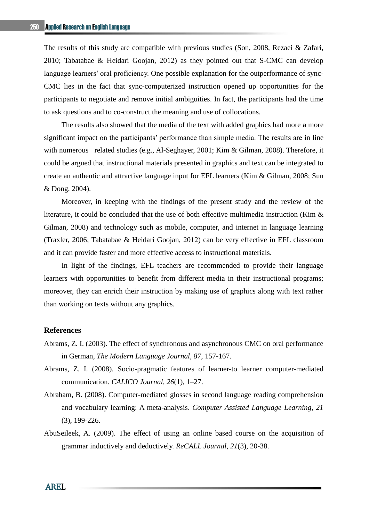The results of this study are compatible with previous studies (Son, 2008, Rezaei & Zafari, 2010; Tabatabae & Heidari Goojan, 2012) as they pointed out that S-CMC can develop language learners' oral proficiency. One possible explanation for the outperformance of sync-CMC lies in the fact that sync-computerized instruction opened up opportunities for the participants to negotiate and remove initial ambiguities. In fact, the participants had the time to ask questions and to co-construct the meaning and use of collocations.

The results also showed that the media of the text with added graphics had more **a** more significant impact on the participants' performance than simple media. The results are in line with numerous related studies (e.g., Al-Seghayer, 2001; Kim & Gilman, 2008). Therefore, it could be argued that instructional materials presented in graphics and text can be integrated to create an authentic and attractive language input for EFL learners (Kim & Gilman, 2008; Sun & Dong, 2004).

Moreover, in keeping with the findings of the present study and the review of the literature**,** it could be concluded that the use of both effective multimedia instruction (Kim & Gilman, 2008) and technology such as mobile, computer, and internet in language learning (Traxler, 2006; Tabatabae & Heidari Goojan, 2012) can be very effective in EFL classroom and it can provide faster and more effective access to instructional materials.

In light of the findings, EFL teachers are recommended to provide their language learners with opportunities to benefit from different media in their instructional programs; moreover, they can enrich their instruction by making use of graphics along with text rather than working on texts without any graphics.

#### **References**

- Abrams, Z. I. (2003). The effect of synchronous and asynchronous CMC on oral performance in German, *The Modern Language Journal, 87*, 157-167.
- Abrams, Z. I. (2008). Socio-pragmatic features of learner-to learner computer-mediated communication. *CALICO Journal, 26*(1), 1–27.
- Abraham, B. (2008). Computer-mediated glosses in second language reading comprehension and vocabulary learning: A meta-analysis. *Computer Assisted Language Learning, 21*  (3), 199-226.
- AbuSeileek, A. (2009). The effect of using an online based course on the acquisition of grammar inductively and deductively. *ReCALL Journal, 21*(3), 20-38.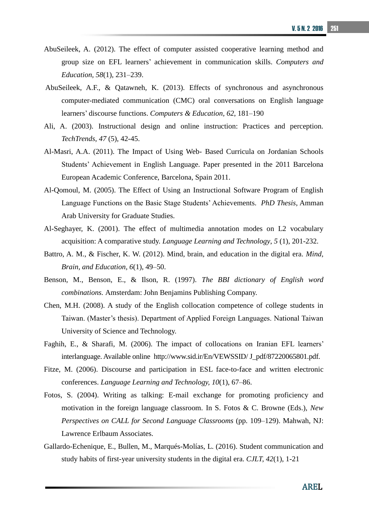- AbuSeileek, A. (2012). The effect of computer assisted cooperative learning method and group size on EFL learners' achievement in communication skills. *Computers and Education, 58*(1), 231–239.
- AbuSeileek, A.F., & Qatawneh, K. (2013). Effects of synchronous and asynchronous computer-mediated communication (CMC) oral conversations on English language learners' discourse functions. *[Computers](http://dx.doi.org/10.1016/j.compedu.2012.10.013) & Education, 62*, 181–190
- Ali, A. (2003). Instructional design and online instruction: Practices and perception. *TechTrends*, *47* (5), 42-45.
- Al-Masri, A.A. (2011). The Impact of Using Web- Based Curricula on Jordanian Schools Students' Achievement in English Language. Paper presented in the 2011 Barcelona European Academic Conference, Barcelona, Spain 2011.
- Al-Qomoul, M. (2005). The Effect of Using an Instructional Software Program of English Language Functions on the Basic Stage Students' Achievements. *PhD Thesis*, Amman Arab University for Graduate Studies.
- Al-Seghayer, K. (2001). The effect of multimedia annotation modes on L2 vocabulary acquisition: A comparative study. *Language Learning and Technology*, *5* (1), 201-232.
- Battro, A. M., & Fischer, K. W. (2012). Mind, brain, and education in the digital era. *Mind, Brain, and Education, 6*(1), 49–50.
- Benson, M., Benson, E., & Ilson, R. (1997). *The BBI dictionary of English word combinations.* Amsterdam: John Benjamins Publishing Company.
- Chen, M.H. (2008). A study of the English collocation competence of college students in Taiwan. (Master's thesis). Department of Applied Foreign Languages. National Taiwan University of Science and Technology.
- Faghih, E., & Sharafi, M. (2006). The impact of collocations on Iranian EFL learners' interlanguage. Available online [http://www.sid.ir/En/VEWSSID/](http://www.sid.ir/En/VEWSSID/%20J_pdf/87220065801.pdf) J\_pdf/87220065801.pdf.
- Fitze, M. (2006). Discourse and participation in ESL face-to-face and written electronic conferences. *Language Learning and Technology, 10*(1), 67–86.
- Fotos, S. (2004). Writing as talking: E-mail exchange for promoting proficiency and motivation in the foreign language classroom. In S. Fotos & C. Browne (Eds.), *New Perspectives on CALL for Second Language Classrooms* (pp. 109–129). Mahwah, NJ: Lawrence Erlbaum Associates.
- Gallardo-Echenique, E., Bullen, M., Marqués-Molías, L. (2016). Student communication and study habits of first-year university students in the digital era. *CJLT, 42*(1), 1-21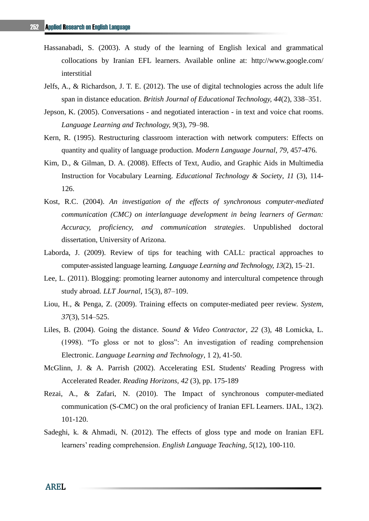- Hassanabadi, S. (2003). A study of the learning of English lexical and grammatical collocations by Iranian EFL learners. Available online at: [http://www.google.com/](http://www.google.com/%20interstitial) [interstitial](http://www.google.com/%20interstitial)
- Jelfs, A., & Richardson, J. T. E. (2012). The use of digital technologies across the adult life span in distance education. *British Journal of Educational Technology, 44*(2), 338–351.
- Jepson, K. (2005). Conversations and negotiated interaction in text and voice chat rooms. *Language Learning and Technology, 9*(3), 79–98.
- Kern, R. (1995). Restructuring classroom interaction with network computers: Effects on quantity and quality of language production. *Modern Language Journal*, *79*, 457-476.
- Kim, D., & Gilman, D. A. (2008). Effects of Text, Audio, and Graphic Aids in Multimedia Instruction for Vocabulary Learning. *Educational Technology & Society*, *11* (3), 114- 126.
- Kost, R.C. (2004). *An investigation of the effects of synchronous computer-mediated communication (CMC) on interlanguage development in being learners of German: Accuracy, proficiency, and communication strategies*. Unpublished doctoral dissertation, University of Arizona.
- Laborda, J. (2009). Review of tips for teaching with CALL: practical approaches to computer-assisted language learning. *Language Learning and Technology, 13*(2), 15–21.
- Lee, L. (2011). Blogging: promoting learner autonomy and intercultural competence through study abroad. *LLT Journal*, 15(3), 87–109.
- Liou, H., & Penga, Z. (2009). Training effects on computer-mediated peer review. *System, 37*(3), 514–525.
- Liles, B. (2004). Going the distance. *Sound & Video Contractor*, *22* (3), 48 Lomicka, L. (1998). "To gloss or not to gloss": An investigation of reading comprehension Electronic. *Language Learning and Technology*, 1 2), 41-50.
- McGlinn, J. & A. Parrish (2002). Accelerating ESL Students' Reading Progress with Accelerated Reader. *Reading Horizons, 42* (3), pp. 175-189
- Rezai, A., & Zafari, N. (2010). The Impact of synchronous computer-mediated communication (S-CMC) on the oral proficiency of Iranian EFL Learners. IJAL, 13(2). 101-120.
- Sadeghi, k. & Ahmadi, N. (2012). The effects of gloss type and mode on Iranian EFL learners' reading comprehension. *English Language Teaching*, *5*(12), 100-110.